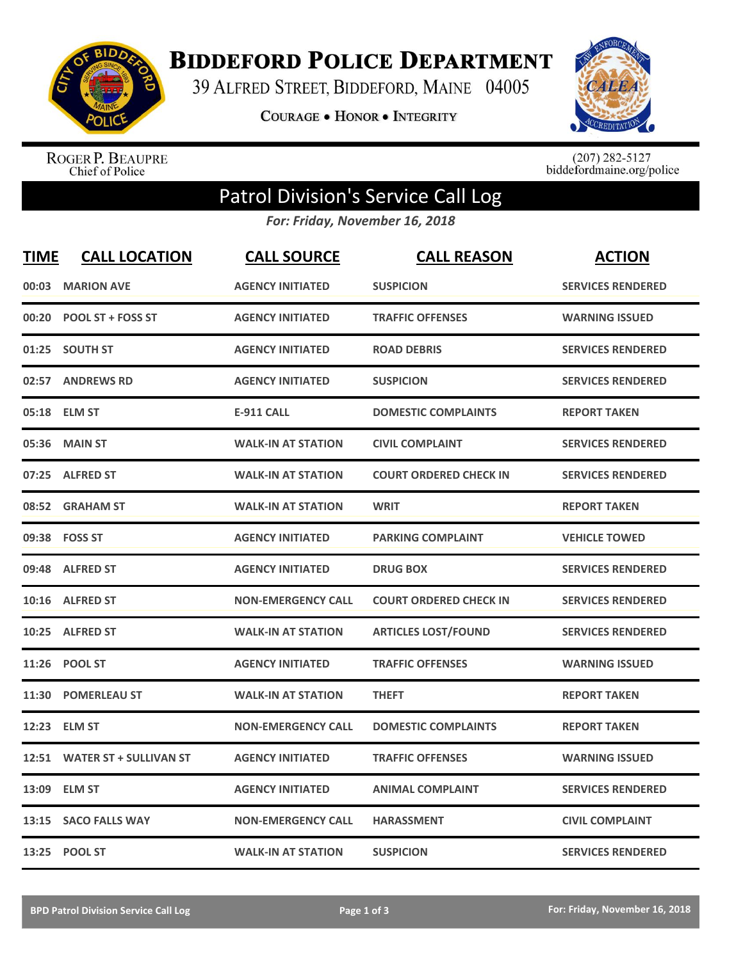

**BIDDEFORD POLICE DEPARTMENT** 

39 ALFRED STREET, BIDDEFORD, MAINE 04005

COURAGE . HONOR . INTEGRITY



ROGER P. BEAUPRE<br>Chief of Police

 $(207)$  282-5127<br>biddefordmaine.org/police

## Patrol Division's Service Call Log

*For: Friday, November 16, 2018*

| <b>TIME</b> | <b>CALL LOCATION</b>          | <b>CALL SOURCE</b>        | <b>CALL REASON</b>            | <b>ACTION</b>            |
|-------------|-------------------------------|---------------------------|-------------------------------|--------------------------|
| 00:03       | <b>MARION AVE</b>             | <b>AGENCY INITIATED</b>   | <b>SUSPICION</b>              | <b>SERVICES RENDERED</b> |
| 00:20       | <b>POOL ST + FOSS ST</b>      | <b>AGENCY INITIATED</b>   | <b>TRAFFIC OFFENSES</b>       | <b>WARNING ISSUED</b>    |
| 01:25       | <b>SOUTH ST</b>               | <b>AGENCY INITIATED</b>   | <b>ROAD DEBRIS</b>            | <b>SERVICES RENDERED</b> |
| 02:57       | <b>ANDREWS RD</b>             | <b>AGENCY INITIATED</b>   | <b>SUSPICION</b>              | <b>SERVICES RENDERED</b> |
| 05:18       | <b>ELM ST</b>                 | <b>E-911 CALL</b>         | <b>DOMESTIC COMPLAINTS</b>    | <b>REPORT TAKEN</b>      |
| 05:36       | <b>MAIN ST</b>                | <b>WALK-IN AT STATION</b> | <b>CIVIL COMPLAINT</b>        | <b>SERVICES RENDERED</b> |
| 07:25       | <b>ALFRED ST</b>              | <b>WALK-IN AT STATION</b> | <b>COURT ORDERED CHECK IN</b> | <b>SERVICES RENDERED</b> |
| 08:52       | <b>GRAHAM ST</b>              | <b>WALK-IN AT STATION</b> | <b>WRIT</b>                   | <b>REPORT TAKEN</b>      |
|             | 09:38 FOSS ST                 | <b>AGENCY INITIATED</b>   | <b>PARKING COMPLAINT</b>      | <b>VEHICLE TOWED</b>     |
| 09:48       | <b>ALFRED ST</b>              | <b>AGENCY INITIATED</b>   | <b>DRUG BOX</b>               | <b>SERVICES RENDERED</b> |
|             | 10:16 ALFRED ST               | <b>NON-EMERGENCY CALL</b> | <b>COURT ORDERED CHECK IN</b> | <b>SERVICES RENDERED</b> |
| 10:25       | <b>ALFRED ST</b>              | <b>WALK-IN AT STATION</b> | <b>ARTICLES LOST/FOUND</b>    | <b>SERVICES RENDERED</b> |
|             | 11:26 POOL ST                 | <b>AGENCY INITIATED</b>   | <b>TRAFFIC OFFENSES</b>       | <b>WARNING ISSUED</b>    |
| 11:30       | <b>POMERLEAU ST</b>           | <b>WALK-IN AT STATION</b> | <b>THEFT</b>                  | <b>REPORT TAKEN</b>      |
| 12:23       | <b>ELM ST</b>                 | <b>NON-EMERGENCY CALL</b> | <b>DOMESTIC COMPLAINTS</b>    | <b>REPORT TAKEN</b>      |
| 12:51       | <b>WATER ST + SULLIVAN ST</b> | <b>AGENCY INITIATED</b>   | <b>TRAFFIC OFFENSES</b>       | <b>WARNING ISSUED</b>    |
| 13:09       | <b>ELM ST</b>                 | <b>AGENCY INITIATED</b>   | <b>ANIMAL COMPLAINT</b>       | <b>SERVICES RENDERED</b> |
| 13:15       | <b>SACO FALLS WAY</b>         | <b>NON-EMERGENCY CALL</b> | <b>HARASSMENT</b>             | <b>CIVIL COMPLAINT</b>   |
|             | 13:25 POOL ST                 | <b>WALK-IN AT STATION</b> | <b>SUSPICION</b>              | <b>SERVICES RENDERED</b> |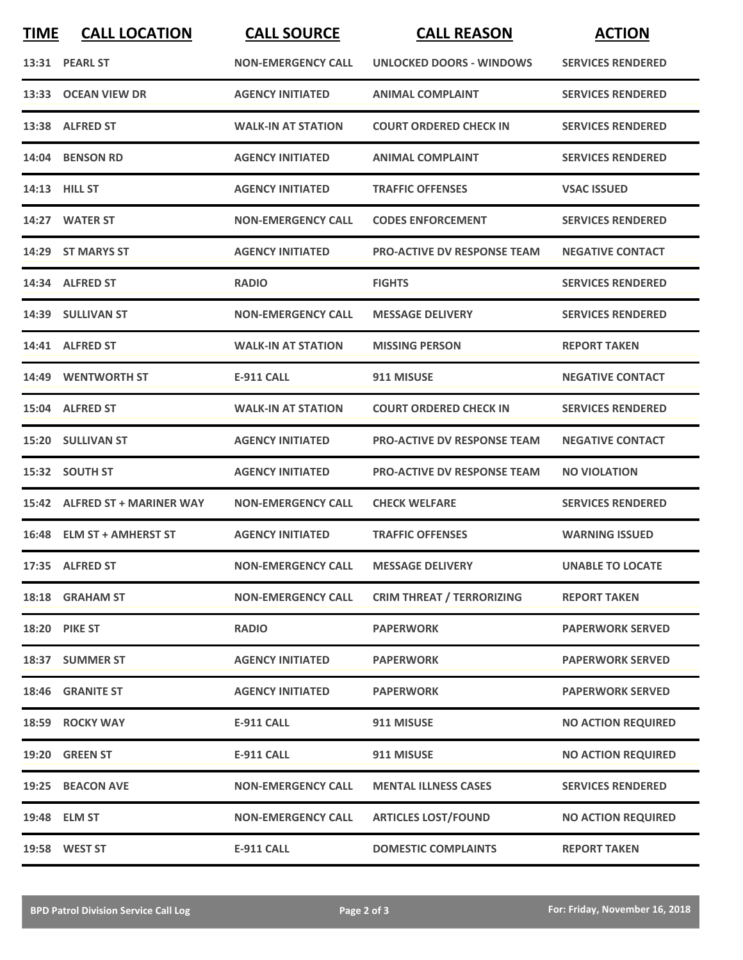| <b>TIME</b> | <b>CALL LOCATION</b>          | <b>CALL SOURCE</b>        | <b>CALL REASON</b>                 | <b>ACTION</b>             |
|-------------|-------------------------------|---------------------------|------------------------------------|---------------------------|
|             | 13:31 PEARL ST                | <b>NON-EMERGENCY CALL</b> | UNLOCKED DOORS - WINDOWS           | <b>SERVICES RENDERED</b>  |
|             | 13:33 OCEAN VIEW DR           | <b>AGENCY INITIATED</b>   | <b>ANIMAL COMPLAINT</b>            | <b>SERVICES RENDERED</b>  |
|             | 13:38 ALFRED ST               | <b>WALK-IN AT STATION</b> | <b>COURT ORDERED CHECK IN</b>      | <b>SERVICES RENDERED</b>  |
|             | 14:04 BENSON RD               | <b>AGENCY INITIATED</b>   | <b>ANIMAL COMPLAINT</b>            | <b>SERVICES RENDERED</b>  |
|             | 14:13 HILL ST                 | <b>AGENCY INITIATED</b>   | <b>TRAFFIC OFFENSES</b>            | <b>VSAC ISSUED</b>        |
|             | 14:27 WATER ST                | <b>NON-EMERGENCY CALL</b> | <b>CODES ENFORCEMENT</b>           | <b>SERVICES RENDERED</b>  |
|             | 14:29 ST MARYS ST             | <b>AGENCY INITIATED</b>   | <b>PRO-ACTIVE DV RESPONSE TEAM</b> | <b>NEGATIVE CONTACT</b>   |
|             | 14:34 ALFRED ST               | <b>RADIO</b>              | <b>FIGHTS</b>                      | <b>SERVICES RENDERED</b>  |
|             | 14:39 SULLIVAN ST             | <b>NON-EMERGENCY CALL</b> | <b>MESSAGE DELIVERY</b>            | <b>SERVICES RENDERED</b>  |
|             | 14:41 ALFRED ST               | <b>WALK-IN AT STATION</b> | <b>MISSING PERSON</b>              | <b>REPORT TAKEN</b>       |
|             | 14:49 WENTWORTH ST            | <b>E-911 CALL</b>         | 911 MISUSE                         | <b>NEGATIVE CONTACT</b>   |
|             | 15:04 ALFRED ST               | <b>WALK-IN AT STATION</b> | <b>COURT ORDERED CHECK IN</b>      | <b>SERVICES RENDERED</b>  |
|             | 15:20 SULLIVAN ST             | <b>AGENCY INITIATED</b>   | <b>PRO-ACTIVE DV RESPONSE TEAM</b> | <b>NEGATIVE CONTACT</b>   |
|             | 15:32 SOUTH ST                | <b>AGENCY INITIATED</b>   | <b>PRO-ACTIVE DV RESPONSE TEAM</b> | <b>NO VIOLATION</b>       |
|             | 15:42 ALFRED ST + MARINER WAY | <b>NON-EMERGENCY CALL</b> | <b>CHECK WELFARE</b>               | <b>SERVICES RENDERED</b>  |
|             | 16:48 ELM ST + AMHERST ST     | <b>AGENCY INITIATED</b>   | <b>TRAFFIC OFFENSES</b>            | <b>WARNING ISSUED</b>     |
|             | 17:35 ALFRED ST               | <b>NON-EMERGENCY CALL</b> | <b>MESSAGE DELIVERY</b>            | <b>UNABLE TO LOCATE</b>   |
|             | 18:18 GRAHAM ST               | <b>NON-EMERGENCY CALL</b> | <b>CRIM THREAT / TERRORIZING</b>   | <b>REPORT TAKEN</b>       |
|             | <b>18:20 PIKE ST</b>          | <b>RADIO</b>              | <b>PAPERWORK</b>                   | <b>PAPERWORK SERVED</b>   |
|             | 18:37 SUMMER ST               | <b>AGENCY INITIATED</b>   | <b>PAPERWORK</b>                   | <b>PAPERWORK SERVED</b>   |
|             | 18:46 GRANITE ST              | <b>AGENCY INITIATED</b>   | <b>PAPERWORK</b>                   | <b>PAPERWORK SERVED</b>   |
|             | 18:59 ROCKY WAY               | <b>E-911 CALL</b>         | 911 MISUSE                         | <b>NO ACTION REQUIRED</b> |
|             | 19:20 GREEN ST                | <b>E-911 CALL</b>         | 911 MISUSE                         | <b>NO ACTION REQUIRED</b> |
|             | 19:25 BEACON AVE              | <b>NON-EMERGENCY CALL</b> | <b>MENTAL ILLNESS CASES</b>        | <b>SERVICES RENDERED</b>  |
|             | 19:48 ELM ST                  | <b>NON-EMERGENCY CALL</b> | <b>ARTICLES LOST/FOUND</b>         | <b>NO ACTION REQUIRED</b> |
|             | 19:58 WEST ST                 | <b>E-911 CALL</b>         | <b>DOMESTIC COMPLAINTS</b>         | <b>REPORT TAKEN</b>       |